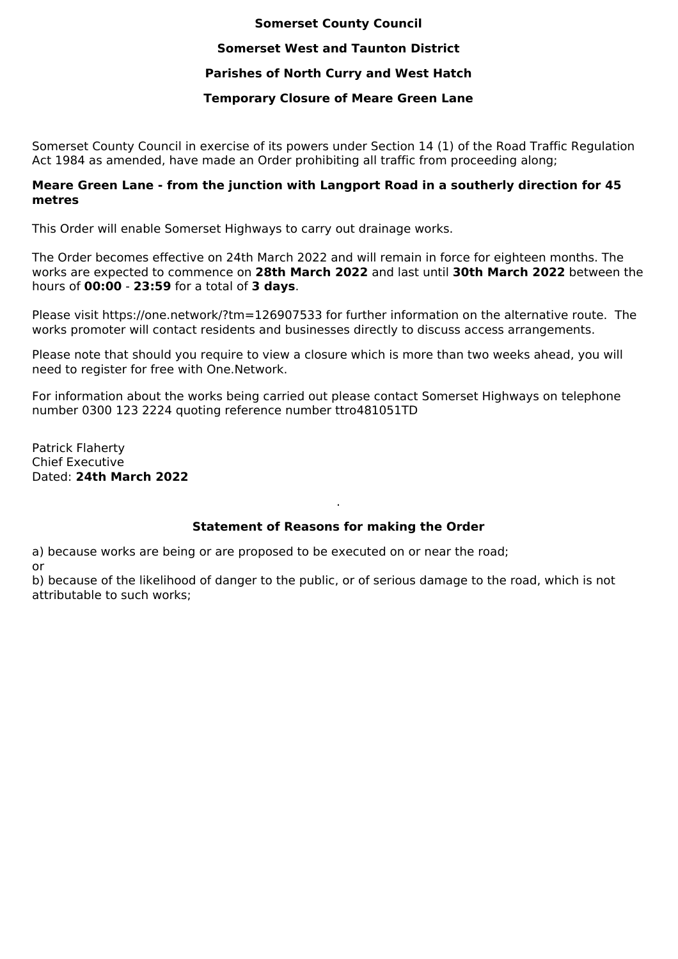#### **Somerset County Council**

### **Somerset West and Taunton District**

## **Parishes of North Curry and West Hatch**

## **Temporary Closure of Meare Green Lane**

Somerset County Council in exercise of its powers under Section 14 (1) of the Road Traffic Regulation Act 1984 as amended, have made an Order prohibiting all traffic from proceeding along;

#### **Meare Green Lane - from the junction with Langport Road in a southerly direction for 45 metres**

This Order will enable Somerset Highways to carry out drainage works.

The Order becomes effective on 24th March 2022 and will remain in force for eighteen months. The works are expected to commence on **28th March 2022** and last until **30th March 2022** between the hours of **00:00** - **23:59** for a total of **3 days**.

Please visit https://one.network/?tm=126907533 for further information on the alternative route. The works promoter will contact residents and businesses directly to discuss access arrangements.

Please note that should you require to view a closure which is more than two weeks ahead, you will need to register for free with One.Network.

For information about the works being carried out please contact Somerset Highways on telephone number 0300 123 2224 quoting reference number ttro481051TD

Patrick Flaherty Chief Executive Dated: **24th March 2022**

# **Statement of Reasons for making the Order**

.

a) because works are being or are proposed to be executed on or near the road;

or

b) because of the likelihood of danger to the public, or of serious damage to the road, which is not attributable to such works;